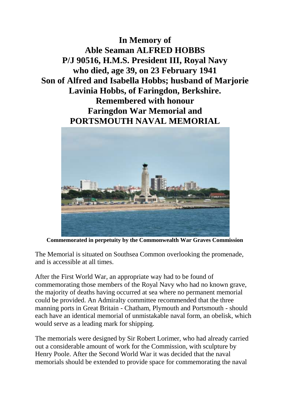**In Memory of Able Seaman ALFRED HOBBS P/J 90516, H.M.S. President III, Royal Navy who died, age 39, on 23 February 1941 Son of Alfred and Isabella Hobbs; husband of Marjorie Lavinia Hobbs, of Faringdon, Berkshire. Remembered with honour Faringdon War Memorial and PORTSMOUTH NAVAL MEMORIAL**



**Commemorated in perpetuity by the Commonwealth War Graves Commission**

The Memorial is situated on Southsea Common overlooking the promenade, and is accessible at all times.

After the First World War, an appropriate way had to be found of commemorating those members of the Royal Navy who had no known grave, the majority of deaths having occurred at sea where no permanent memorial could be provided. An Admiralty committee recommended that the three manning ports in Great Britain - Chatham, Plymouth and Portsmouth - should each have an identical memorial of unmistakable naval form, an obelisk, which would serve as a leading mark for shipping.

The memorials were designed by Sir Robert Lorimer, who had already carried out a considerable amount of work for the Commission, with sculpture by Henry Poole. After the Second World War it was decided that the naval memorials should be extended to provide space for commemorating the naval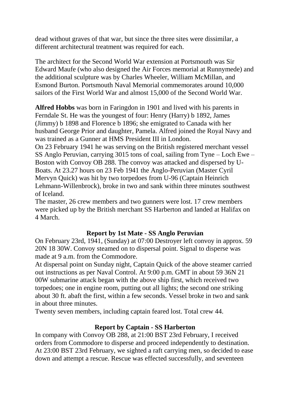dead without graves of that war, but since the three sites were dissimilar, a different architectural treatment was required for each.

The architect for the Second World War extension at Portsmouth was Sir Edward Maufe (who also designed the Air Forces memorial at Runnymede) and the additional sculpture was by Charles Wheeler, William McMillan, and Esmond Burton. Portsmouth Naval Memorial commemorates around 10,000 sailors of the First World War and almost 15,000 of the Second World War.

**Alfred Hobbs** was born in Faringdon in 1901 and lived with his parents in Ferndale St. He was the youngest of four: Henry (Harry) b 1892, James (Jimmy) b 1898 and Florence b 1896; she emigrated to Canada with her husband George Prior and daughter, Pamela. Alfred joined the Royal Navy and was trained as a Gunner at HMS President III in London.

On 23 February 1941 he was serving on the British registered merchant vessel SS Anglo Peruvian, carrying 3015 tons of coal, sailing from Tyne – Loch Ewe – Boston with Convoy OB 288. The convoy was attacked and dispersed by U-Boats. At 23.27 hours on 23 Feb 1941 the Anglo-Peruvian (Master Cyril Mervyn Quick) was hit by two torpedoes from U-96 (Captain Heinrich Lehmann-Willenbrock), broke in two and sank within three minutes southwest of Iceland.

The master, 26 crew members and two gunners were lost. 17 crew members were picked up by the British merchant SS Harberton and landed at Halifax on 4 March.

## **Report by 1st Mate - SS Anglo Peruvian**

On February 23rd, 1941, (Sunday) at 07:00 Destroyer left convoy in approx. 59 20N 18 30W. Convoy steamed on to dispersal point. Signal to disperse was made at 9 a.m. from the Commodore.

At dispersal point on Sunday night, Captain Quick of the above steamer carried out instructions as per Naval Control. At 9:00 p.m. GMT in about 59 36N 21 00W submarine attack began with the above ship first, which received two torpedoes; one in engine room, putting out all lights; the second one striking about 30 ft. abaft the first, within a few seconds. Vessel broke in two and sank in about three minutes.

Twenty seven members, including captain feared lost. Total crew 44.

## **Report by Captain - SS Harberton**

In company with Convoy OB 288, at 21:00 BST 23rd February, I received orders from Commodore to disperse and proceed independently to destination. At 23:00 BST 23rd February, we sighted a raft carrying men, so decided to ease down and attempt a rescue. Rescue was effected successfully, and seventeen